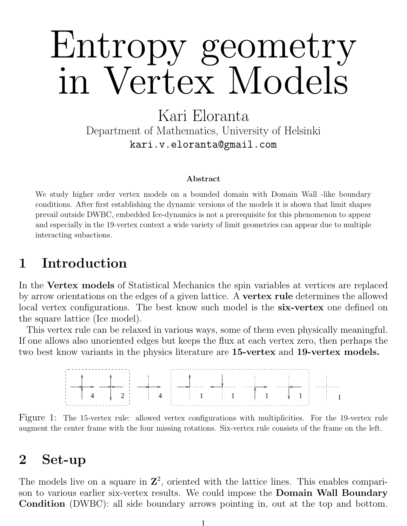# Entropy geometry in Vertex Models

Kari Eloranta Department of Mathematics, University of Helsinki kari.v.eloranta@gmail.com

#### Abstract

We study higher order vertex models on a bounded domain with Domain Wall -like boundary conditions. After first establishing the dynamic versions of the models it is shown that limit shapes prevail outside DWBC, embedded Ice-dynamics is not a prerequisite for this phenomenon to appear and especially in the 19-vertex context a wide variety of limit geometries can appear due to multiple interacting subactions.

### 1 Introduction

In the Vertex models of Statistical Mechanics the spin variables at vertices are replaced by arrow orientations on the edges of a given lattice. A vertex rule determines the allowed local vertex configurations. The best know such model is the **six-vertex** one defined on the square lattice (Ice model).

This vertex rule can be relaxed in various ways, some of them even physically meaningful. If one allows also unoriented edges but keeps the flux at each vertex zero, then perhaps the two best know variants in the physics literature are 15-vertex and 19-vertex models.



Figure 1: The 15-vertex rule: allowed vertex configurations with multiplicities. For the 19-vertex rule augment the center frame with the four missing rotations. Six-vertex rule consists of the frame on the left.

#### 2 Set-up

The models live on a square in  $\mathbb{Z}^2$ , oriented with the lattice lines. This enables comparison to various earlier six-vertex results. We could impose the **Domain Wall Boundary** Condition (DWBC): all side boundary arrows pointing in, out at the top and bottom.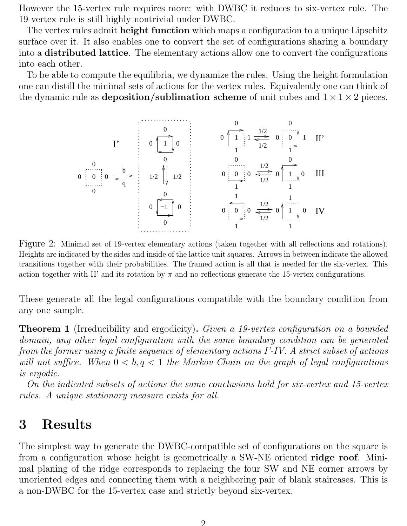However the 15-vertex rule requires more: with DWBC it reduces to six-vertex rule. The 19-vertex rule is still highly nontrivial under DWBC.

The vertex rules admit **height function** which maps a configuration to a unique Lipschitz surface over it. It also enables one to convert the set of configurations sharing a boundary into a distributed lattice. The elementary actions allow one to convert the configurations into each other.

To be able to compute the equilibria, we dynamize the rules. Using the height formulation one can distill the minimal sets of actions for the vertex rules. Equivalently one can think of the dynamic rule as **deposition/sublimation scheme** of unit cubes and  $1 \times 1 \times 2$  pieces.



Figure 2: Minimal set of 19-vertex elementary actions (taken together with all reflections and rotations). Heights are indicated by the sides and inside of the lattice unit squares. Arrows in between indicate the allowed transitions together with their probabilities. The framed action is all that is needed for the six-vertex. This action together with II' and its rotation by  $\pi$  and no reflections generate the 15-vertex configurations.

These generate all the legal configurations compatible with the boundary condition from any one sample.

**Theorem 1** (Irreducibility and ergodicity). Given a 19-vertex configuration on a bounded domain, any other legal configuration with the same boundary condition can be generated from the former using a finite sequence of elementary actions I'-IV. A strict subset of actions will not suffice. When  $0 < b, q < 1$  the Markov Chain on the graph of legal configurations is ergodic.

On the indicated subsets of actions the same conclusions hold for six-vertex and 15-vertex rules. A unique stationary measure exists for all.

## 3 Results

The simplest way to generate the DWBC-compatible set of configurations on the square is from a configuration whose height is geometrically a SW-NE oriented **ridge roof**. Minimal planing of the ridge corresponds to replacing the four SW and NE corner arrows by unoriented edges and connecting them with a neighboring pair of blank staircases. This is a non-DWBC for the 15-vertex case and strictly beyond six-vertex.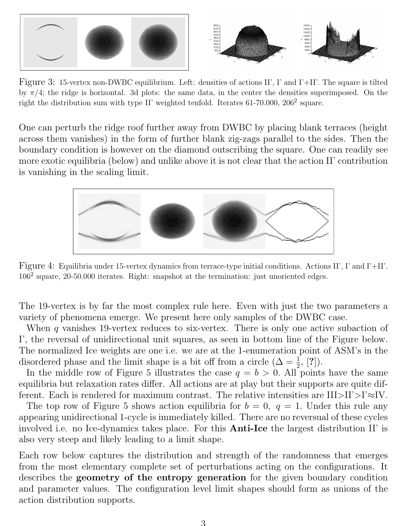

Figure 3: 15-vertex non-DWBC equilibrium. Left: densities of actions II', I' and I'+II'. The square is tilted by  $\pi/4$ ; the ridge is horizontal. 3d plots: the same data, in the center the densities superimposed. On the right the distribution sum with type II' weighted tenfold. Iterates  $61-70.000, 206^2$  square.

One can perturb the ridge roof further away from DWBC by placing blank terraces (height across them vanishes) in the form of further blank zig-zags parallel to the sides. Then the boundary condition is however on the diamond outscribing the square. One can readily see more exotic equilibria (below) and unlike above it is not clear that the action II' contribution is vanishing in the scaling limit.



Figure 4: Equilibria under 15-vertex dynamics from terrace-type initial conditions. Actions II', I' and I'+II'.  $106<sup>2</sup>$  square, 20-50.000 iterates. Right: snapshot at the termination: just unoriented edges.

The 19-vertex is by far the most complex rule here. Even with just the two parameters a variety of phenomena emerge. We present here only samples of the DWBC case.

When q vanishes 19-vertex reduces to six-vertex. There is only one active subaction of I', the reversal of unidirectional unit squares, as seen in bottom line of the Figure below. The normalized Ice weights are one i.e. we are at the 1-enumeration point of ASM's in the disordered phase and the limit shape is a bit off from a circle  $(\Delta = \frac{1}{2}, [?)$ .

In the middle row of Figure 5 illustrates the case  $q = b > 0$ . All points have the same equilibria but relaxation rates differ. All actions are at play but their supports are quite different. Each is rendered for maximum contrast. The relative intensities are  $III > II' > I' \approx IV$ .

The top row of Figure 5 shows action equilibria for  $b = 0$ ,  $q = 1$ . Under this rule any appearing unidirectional 1-cycle is immediately killed. There are no reversual of these cycles involved i.e. no Ice-dynamics takes place. For this Anti-Ice the largest distribution II' is also very steep and likely leading to a limit shape.

Each row below captures the distribution and strength of the randomness that emerges from the most elementary complete set of perturbations acting on the configurations. It describes the geometry of the entropy generation for the given boundary condition and parameter values. The configuration level limit shapes should form as unions of the action distribution supports.